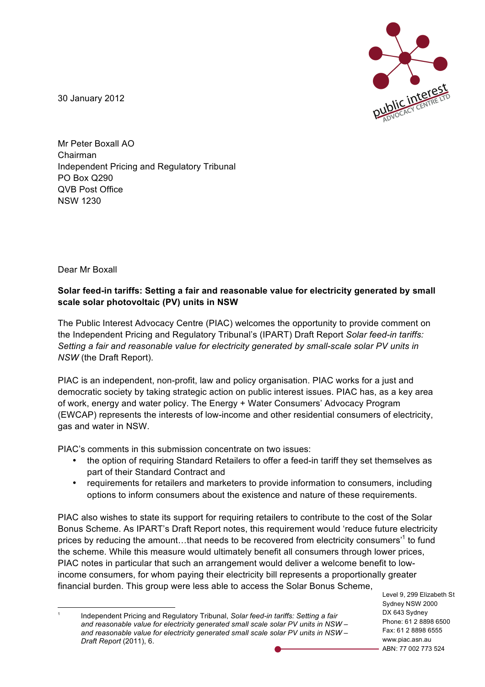

30 January 2012

Mr Peter Boxall AO Chairman Independent Pricing and Regulatory Tribunal PO Box Q290 QVB Post Office NSW 1230

Dear Mr Boxall

#### **Solar feed-in tariffs: Setting a fair and reasonable value for electricity generated by small scale solar photovoltaic (PV) units in NSW**

The Public Interest Advocacy Centre (PIAC) welcomes the opportunity to provide comment on the Independent Pricing and Regulatory Tribunal's (IPART) Draft Report *Solar feed-in tariffs: Setting a fair and reasonable value for electricity generated by small-scale solar PV units in NSW* (the Draft Report).

PIAC is an independent, non-profit, law and policy organisation. PIAC works for a just and democratic society by taking strategic action on public interest issues. PIAC has, as a key area of work, energy and water policy. The Energy + Water Consumers' Advocacy Program (EWCAP) represents the interests of low-income and other residential consumers of electricity, gas and water in NSW.

PIAC's comments in this submission concentrate on two issues:

- the option of requiring Standard Retailers to offer a feed-in tariff they set themselves as part of their Standard Contract and
- requirements for retailers and marketers to provide information to consumers, including options to inform consumers about the existence and nature of these requirements.

PIAC also wishes to state its support for requiring retailers to contribute to the cost of the Solar Bonus Scheme. As IPART's Draft Report notes, this requirement would 'reduce future electricity prices by reducing the amount…that needs to be recovered from electricity consumers'1 to fund the scheme. While this measure would ultimately benefit all consumers through lower prices, PIAC notes in particular that such an arrangement would deliver a welcome benefit to lowincome consumers, for whom paying their electricity bill represents a proportionally greater financial burden. This group were less able to access the Solar Bonus Scheme,

Level 9, 299 Elizabeth St Sydney NSW 2000 DX 643 Sydney Phone: 61 2 8898 6500 Fax: 61 2 8898 6555 www.piac.asn.au ABN: 77 002 773 524

 <sup>1</sup> Independent Pricing and Regulatory Tribunal, *Solar feed-in tariffs: Setting a fair and reasonable value for electricity generated small scale solar PV units in NSW – and reasonable value for electricity generated small scale solar PV units in NSW – Draft Report* (2011), 6.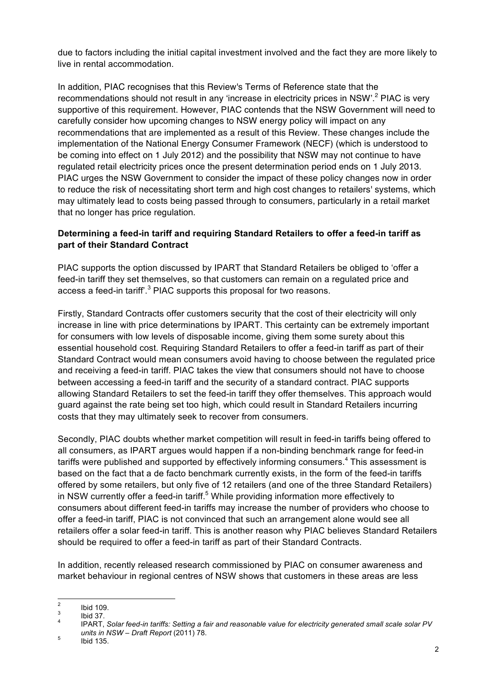due to factors including the initial capital investment involved and the fact they are more likely to live in rental accommodation.

In addition, PIAC recognises that this Review's Terms of Reference state that the recommendations should not result in any 'increase in electricity prices in NSW'.<sup>2</sup> PIAC is very supportive of this requirement. However, PIAC contends that the NSW Government will need to carefully consider how upcoming changes to NSW energy policy will impact on any recommendations that are implemented as a result of this Review. These changes include the implementation of the National Energy Consumer Framework (NECF) (which is understood to be coming into effect on 1 July 2012) and the possibility that NSW may not continue to have regulated retail electricity prices once the present determination period ends on 1 July 2013. PIAC urges the NSW Government to consider the impact of these policy changes now in order to reduce the risk of necessitating short term and high cost changes to retailers' systems, which may ultimately lead to costs being passed through to consumers, particularly in a retail market that no longer has price regulation.

### **Determining a feed-in tariff and requiring Standard Retailers to offer a feed-in tariff as part of their Standard Contract**

PIAC supports the option discussed by IPART that Standard Retailers be obliged to 'offer a feed-in tariff they set themselves, so that customers can remain on a regulated price and access a feed-in tariff<sup>3</sup> PIAC supports this proposal for two reasons.

Firstly, Standard Contracts offer customers security that the cost of their electricity will only increase in line with price determinations by IPART. This certainty can be extremely important for consumers with low levels of disposable income, giving them some surety about this essential household cost. Requiring Standard Retailers to offer a feed-in tariff as part of their Standard Contract would mean consumers avoid having to choose between the regulated price and receiving a feed-in tariff. PIAC takes the view that consumers should not have to choose between accessing a feed-in tariff and the security of a standard contract. PIAC supports allowing Standard Retailers to set the feed-in tariff they offer themselves. This approach would guard against the rate being set too high, which could result in Standard Retailers incurring costs that they may ultimately seek to recover from consumers.

Secondly, PIAC doubts whether market competition will result in feed-in tariffs being offered to all consumers, as IPART argues would happen if a non-binding benchmark range for feed-in tariffs were published and supported by effectively informing consumers.<sup>4</sup> This assessment is based on the fact that a de facto benchmark currently exists, in the form of the feed-in tariffs offered by some retailers, but only five of 12 retailers (and one of the three Standard Retailers) in NSW currently offer a feed-in tariff.<sup>5</sup> While providing information more effectively to consumers about different feed-in tariffs may increase the number of providers who choose to offer a feed-in tariff, PIAC is not convinced that such an arrangement alone would see all retailers offer a solar feed-in tariff. This is another reason why PIAC believes Standard Retailers should be required to offer a feed-in tariff as part of their Standard Contracts.

In addition, recently released research commissioned by PIAC on consumer awareness and market behaviour in regional centres of NSW shows that customers in these areas are less

<sup>2</sup> Ibid 109. <sup>3</sup> Ibid 37. <sup>4</sup> IPART, *Solar feed-in tariffs: Setting a fair and reasonable value for electricity generated small scale solar PV units in NSW – Draft Report* (2011) 78. <sup>5</sup> Ibid 135.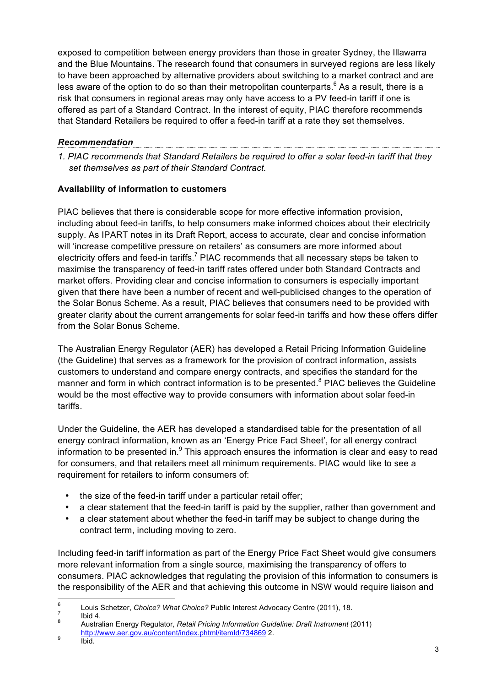exposed to competition between energy providers than those in greater Sydney, the Illawarra and the Blue Mountains. The research found that consumers in surveyed regions are less likely to have been approached by alternative providers about switching to a market contract and are less aware of the option to do so than their metropolitan counterparts.<sup>6</sup> As a result, there is a risk that consumers in regional areas may only have access to a PV feed-in tariff if one is offered as part of a Standard Contract. In the interest of equity, PIAC therefore recommends that Standard Retailers be required to offer a feed-in tariff at a rate they set themselves.

### *Recommendation*

*1. PIAC recommends that Standard Retailers be required to offer a solar feed-in tariff that they set themselves as part of their Standard Contract.* 

# **Availability of information to customers**

PIAC believes that there is considerable scope for more effective information provision, including about feed-in tariffs, to help consumers make informed choices about their electricity supply. As IPART notes in its Draft Report, access to accurate, clear and concise information will 'increase competitive pressure on retailers' as consumers are more informed about electricity offers and feed-in tariffs.<sup>7</sup> PIAC recommends that all necessary steps be taken to maximise the transparency of feed-in tariff rates offered under both Standard Contracts and market offers. Providing clear and concise information to consumers is especially important given that there have been a number of recent and well-publicised changes to the operation of the Solar Bonus Scheme. As a result, PIAC believes that consumers need to be provided with greater clarity about the current arrangements for solar feed-in tariffs and how these offers differ from the Solar Bonus Scheme.

The Australian Energy Regulator (AER) has developed a Retail Pricing Information Guideline (the Guideline) that serves as a framework for the provision of contract information, assists customers to understand and compare energy contracts, and specifies the standard for the manner and form in which contract information is to be presented.<sup>8</sup> PIAC believes the Guideline would be the most effective way to provide consumers with information about solar feed-in tariffs.

Under the Guideline, the AER has developed a standardised table for the presentation of all energy contract information, known as an 'Energy Price Fact Sheet', for all energy contract information to be presented in. $9$  This approach ensures the information is clear and easy to read for consumers, and that retailers meet all minimum requirements. PIAC would like to see a requirement for retailers to inform consumers of:

- the size of the feed-in tariff under a particular retail offer;
- a clear statement that the feed-in tariff is paid by the supplier, rather than government and
- a clear statement about whether the feed-in tariff may be subject to change during the contract term, including moving to zero.

Including feed-in tariff information as part of the Energy Price Fact Sheet would give consumers more relevant information from a single source, maximising the transparency of offers to consumers. PIAC acknowledges that regulating the provision of this information to consumers is the responsibility of the AER and that achieving this outcome in NSW would require liaison and

<sup>6</sup> Louis Schetzer, *Choice? What Choice?* Public Interest Advocacy Centre (2011), 18. 7 Ibid 4. <sup>8</sup> Australian Energy Regulator, *Retail Pricing Information Guideline: Draft Instrument* (2011)

http://www.aer.gov.au/content/index.phtml/itemId/734869 2. <sup>9</sup> Ibid.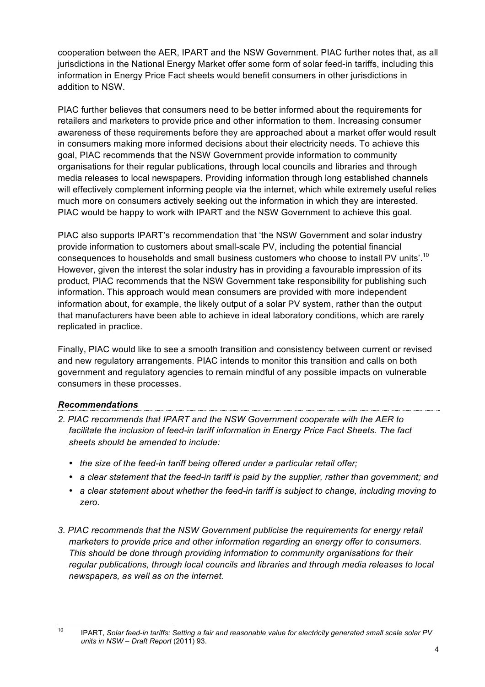cooperation between the AER, IPART and the NSW Government. PIAC further notes that, as all jurisdictions in the National Energy Market offer some form of solar feed-in tariffs, including this information in Energy Price Fact sheets would benefit consumers in other jurisdictions in addition to NSW.

PIAC further believes that consumers need to be better informed about the requirements for retailers and marketers to provide price and other information to them. Increasing consumer awareness of these requirements before they are approached about a market offer would result in consumers making more informed decisions about their electricity needs. To achieve this goal, PIAC recommends that the NSW Government provide information to community organisations for their regular publications, through local councils and libraries and through media releases to local newspapers. Providing information through long established channels will effectively complement informing people via the internet, which while extremely useful relies much more on consumers actively seeking out the information in which they are interested. PIAC would be happy to work with IPART and the NSW Government to achieve this goal.

PIAC also supports IPART's recommendation that 'the NSW Government and solar industry provide information to customers about small-scale PV, including the potential financial consequences to households and small business customers who choose to install PV units'.<sup>10</sup> However, given the interest the solar industry has in providing a favourable impression of its product, PIAC recommends that the NSW Government take responsibility for publishing such information. This approach would mean consumers are provided with more independent information about, for example, the likely output of a solar PV system, rather than the output that manufacturers have been able to achieve in ideal laboratory conditions, which are rarely replicated in practice.

Finally, PIAC would like to see a smooth transition and consistency between current or revised and new regulatory arrangements. PIAC intends to monitor this transition and calls on both government and regulatory agencies to remain mindful of any possible impacts on vulnerable consumers in these processes.

## *Recommendations*

*2. PIAC recommends that IPART and the NSW Government cooperate with the AER to facilitate the inclusion of feed-in tariff information in Energy Price Fact Sheets. The fact sheets should be amended to include:*

- *the size of the feed-in tariff being offered under a particular retail offer;*
- *a clear statement that the feed-in tariff is paid by the supplier, rather than government; and*
- *a clear statement about whether the feed-in tariff is subject to change, including moving to zero.*
- *3. PIAC recommends that the NSW Government publicise the requirements for energy retail marketers to provide price and other information regarding an energy offer to consumers. This should be done through providing information to community organisations for their regular publications, through local councils and libraries and through media releases to local newspapers, as well as on the internet.*

 <sup>10</sup> IPART, *Solar feed-in tariffs: Setting a fair and reasonable value for electricity generated small scale solar PV units in NSW – Draft Report* (2011) 93.